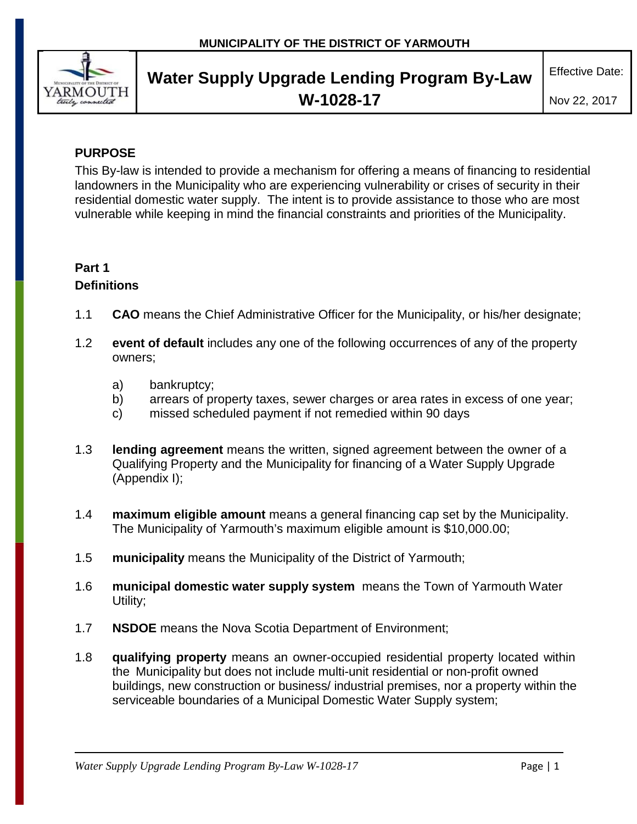

## **PURPOSE**

This By-law is intended to provide a mechanism for offering a means of financing to residential landowners in the Municipality who are experiencing vulnerability or crises of security in their residential domestic water supply. The intent is to provide assistance to those who are most vulnerable while keeping in mind the financial constraints and priorities of the Municipality.

# **Part 1**

# **Definitions**

- 1.1 **CAO** means the Chief Administrative Officer for the Municipality, or his/her designate;
- 1.2 **event of default** includes any one of the following occurrences of any of the property owners;
	- a) bankruptcy;
	- b) arrears of property taxes, sewer charges or area rates in excess of one year;
	- c) missed scheduled payment if not remedied within 90 days
- 1.3 **lending agreement** means the written, signed agreement between the owner of a Qualifying Property and the Municipality for financing of a Water Supply Upgrade (Appendix I);
- 1.4 **maximum eligible amount** means a general financing cap set by the Municipality. The Municipality of Yarmouth's maximum eligible amount is \$10,000.00;
- 1.5 **municipality** means the Municipality of the District of Yarmouth;
- 1.6 **municipal domestic water supply system** means the Town of Yarmouth Water Utility;
- 1.7 **NSDOE** means the Nova Scotia Department of Environment;
- 1.8 **qualifying property** means an owner-occupied residential property located within the Municipality but does not include multi-unit residential or non-profit owned buildings, new construction or business/ industrial premises, nor a property within the serviceable boundaries of a Municipal Domestic Water Supply system;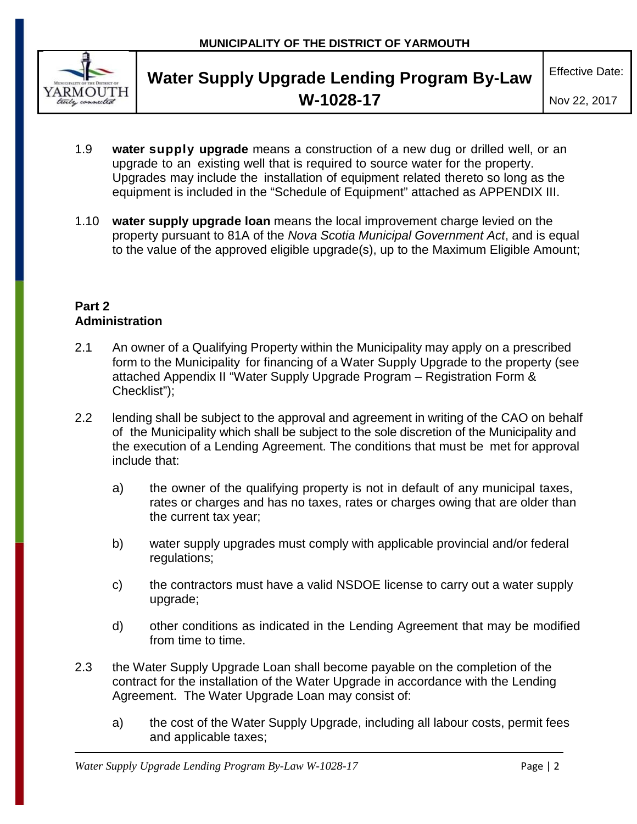

- 1.9 **water supply upgrade** means a construction of a new dug or drilled well, or an upgrade to an existing well that is required to source water for the property. Upgrades may include the installation of equipment related thereto so long as the equipment is included in the "Schedule of Equipment" attached as APPENDIX III.
- 1.10 **water supply upgrade loan** means the local improvement charge levied on the property pursuant to 81A of the *Nova Scotia Municipal Government Act*, and is equal to the value of the approved eligible upgrade(s), up to the Maximum Eligible Amount;

## **Part 2 Administration**

- 2.1 An owner of a Qualifying Property within the Municipality may apply on a prescribed form to the Municipality for financing of a Water Supply Upgrade to the property (see attached Appendix II "Water Supply Upgrade Program – Registration Form & Checklist");
- 2.2 lending shall be subject to the approval and agreement in writing of the CAO on behalf of the Municipality which shall be subject to the sole discretion of the Municipality and the execution of a Lending Agreement. The conditions that must be met for approval include that:
	- a) the owner of the qualifying property is not in default of any municipal taxes, rates or charges and has no taxes, rates or charges owing that are older than the current tax year;
	- b) water supply upgrades must comply with applicable provincial and/or federal regulations;
	- c) the contractors must have a valid NSDOE license to carry out a water supply upgrade;
	- d) other conditions as indicated in the Lending Agreement that may be modified from time to time.
- 2.3 the Water Supply Upgrade Loan shall become payable on the completion of the contract for the installation of the Water Upgrade in accordance with the Lending Agreement. The Water Upgrade Loan may consist of:
	- a) the cost of the Water Supply Upgrade, including all labour costs, permit fees and applicable taxes;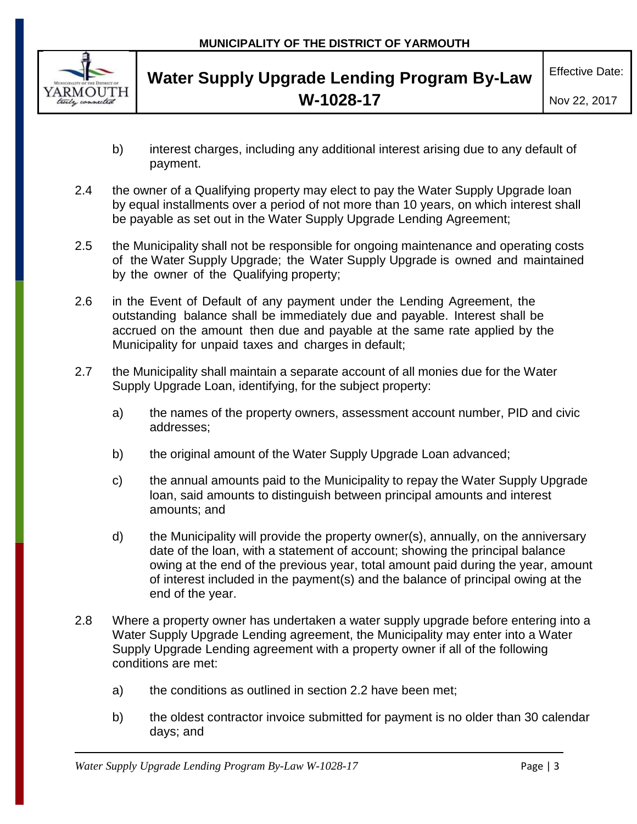

- b) interest charges, including any additional interest arising due to any default of payment.
- 2.4 the owner of a Qualifying property may elect to pay the Water Supply Upgrade loan by equal installments over a period of not more than 10 years, on which interest shall be payable as set out in the Water Supply Upgrade Lending Agreement;
- 2.5 the Municipality shall not be responsible for ongoing maintenance and operating costs of the Water Supply Upgrade; the Water Supply Upgrade is owned and maintained by the owner of the Qualifying property;
- 2.6 in the Event of Default of any payment under the Lending Agreement, the outstanding balance shall be immediately due and payable. Interest shall be accrued on the amount then due and payable at the same rate applied by the Municipality for unpaid taxes and charges in default;
- 2.7 the Municipality shall maintain a separate account of all monies due for the Water Supply Upgrade Loan, identifying, for the subject property:
	- a) the names of the property owners, assessment account number, PID and civic addresses;
	- b) the original amount of the Water Supply Upgrade Loan advanced;
	- c) the annual amounts paid to the Municipality to repay the Water Supply Upgrade loan, said amounts to distinguish between principal amounts and interest amounts; and
	- d) the Municipality will provide the property owner(s), annually, on the anniversary date of the loan, with a statement of account; showing the principal balance owing at the end of the previous year, total amount paid during the year, amount of interest included in the payment(s) and the balance of principal owing at the end of the year.
- 2.8 Where a property owner has undertaken a water supply upgrade before entering into a Water Supply Upgrade Lending agreement, the Municipality may enter into a Water Supply Upgrade Lending agreement with a property owner if all of the following conditions are met:
	- a) the conditions as outlined in section 2.2 have been met;
	- b) the oldest contractor invoice submitted for payment is no older than 30 calendar days; and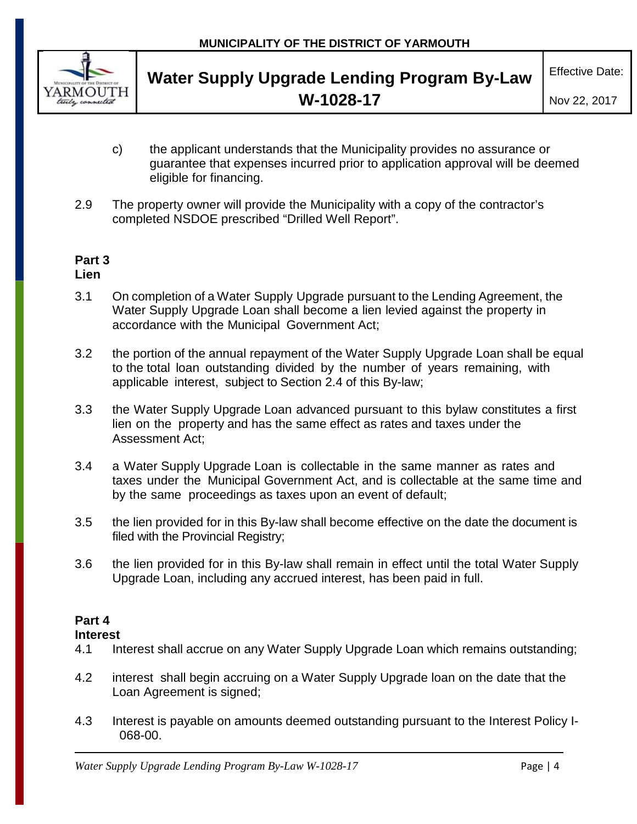

- c) the applicant understands that the Municipality provides no assurance or guarantee that expenses incurred prior to application approval will be deemed eligible for financing.
- 2.9 The property owner will provide the Municipality with a copy of the contractor's completed NSDOE prescribed "Drilled Well Report".

## **Part 3**

## **Lien**

- 3.1 On completion of a Water Supply Upgrade pursuant to the Lending Agreement, the Water Supply Upgrade Loan shall become a lien levied against the property in accordance with the Municipal Government Act;
- 3.2 the portion of the annual repayment of the Water Supply Upgrade Loan shall be equal to the total loan outstanding divided by the number of years remaining, with applicable interest, subject to Section 2.4 of this By-law;
- 3.3 the Water Supply Upgrade Loan advanced pursuant to this bylaw constitutes a first lien on the property and has the same effect as rates and taxes under the Assessment Act;
- 3.4 a Water Supply Upgrade Loan is collectable in the same manner as rates and taxes under the Municipal Government Act, and is collectable at the same time and by the same proceedings as taxes upon an event of default;
- 3.5 the lien provided for in this By-law shall become effective on the date the document is filed with the Provincial Registry;
- 3.6 the lien provided for in this By-law shall remain in effect until the total Water Supply Upgrade Loan, including any accrued interest, has been paid in full.

## **Part 4**

## **Interest**

- 4.1 Interest shall accrue on any Water Supply Upgrade Loan which remains outstanding;
- 4.2 interest shall begin accruing on a Water Supply Upgrade loan on the date that the Loan Agreement is signed;
- 4.3 Interest is payable on amounts deemed outstanding pursuant to the Interest Policy I-068-00.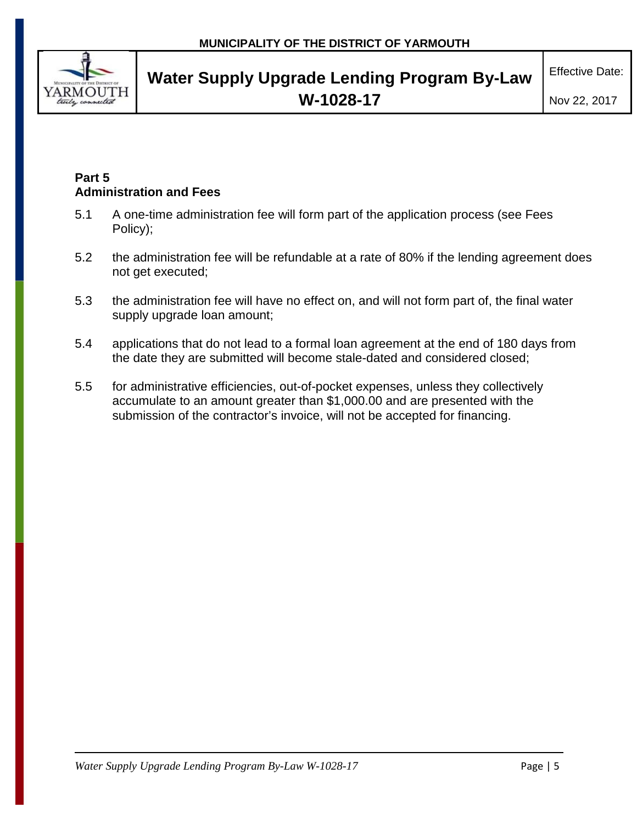

## **Part 5 Administration and Fees**

- 5.1 A one-time administration fee will form part of the application process (see Fees Policy);
- 5.2 the administration fee will be refundable at a rate of 80% if the lending agreement does not get executed;
- 5.3 the administration fee will have no effect on, and will not form part of, the final water supply upgrade loan amount;
- 5.4 applications that do not lead to a formal loan agreement at the end of 180 days from the date they are submitted will become stale-dated and considered closed;
- 5.5 for administrative efficiencies, out-of-pocket expenses, unless they collectively accumulate to an amount greater than \$1,000.00 and are presented with the submission of the contractor's invoice, will not be accepted for financing.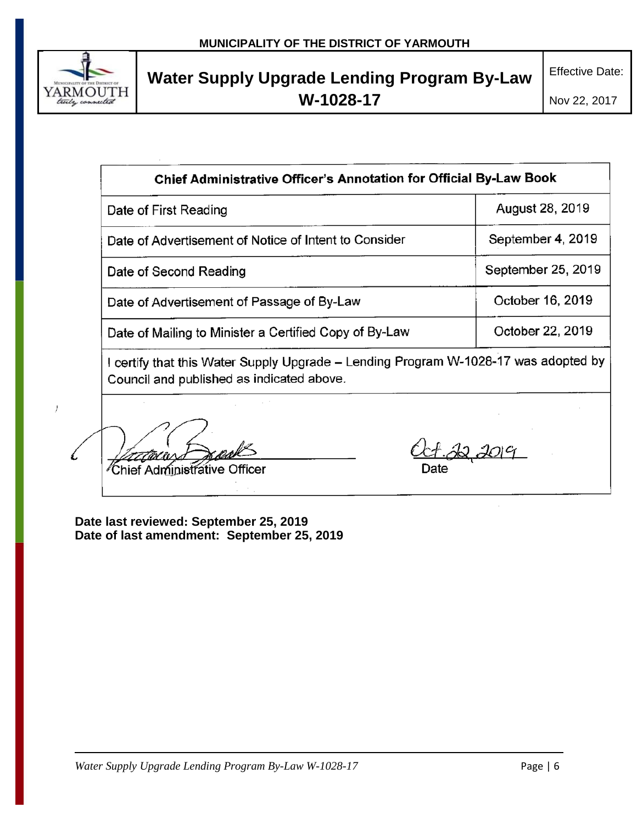

J

| <b>Chief Administrative Officer's Annotation for Official By-Law Book</b> |                    |
|---------------------------------------------------------------------------|--------------------|
| Date of First Reading                                                     | August 28, 2019    |
| Date of Advertisement of Notice of Intent to Consider                     | September 4, 2019  |
| Date of Second Reading                                                    | September 25, 2019 |
| Date of Advertisement of Passage of By-Law                                | October 16, 2019   |
| Date of Mailing to Minister a Certified Copy of By-Law                    | October 22, 2019   |

I certify that this Water Supply Upgrade – Lending Program W-1028-17 was adopted by Council and published as indicated above.

 $\frac{1}{2}$  $\sim$  Chief Administrative Officer Date  $\sim$ 

**Date last reviewed: September 25, 2019 Date of last amendment: September 25, 2019**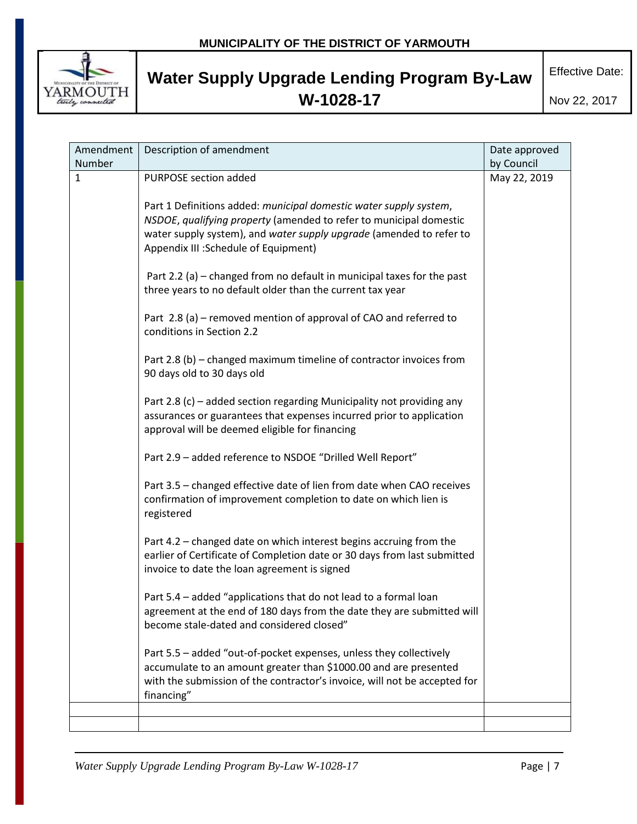

| Amendment    | Description of amendment                                                                                                                                                                                                                                | Date approved |
|--------------|---------------------------------------------------------------------------------------------------------------------------------------------------------------------------------------------------------------------------------------------------------|---------------|
| Number       |                                                                                                                                                                                                                                                         | by Council    |
| $\mathbf{1}$ | PURPOSE section added                                                                                                                                                                                                                                   | May 22, 2019  |
|              | Part 1 Definitions added: municipal domestic water supply system,<br>NSDOE, qualifying property (amended to refer to municipal domestic<br>water supply system), and water supply upgrade (amended to refer to<br>Appendix III : Schedule of Equipment) |               |
|              | Part 2.2 (a) – changed from no default in municipal taxes for the past<br>three years to no default older than the current tax year                                                                                                                     |               |
|              | Part 2.8 (a) - removed mention of approval of CAO and referred to<br>conditions in Section 2.2                                                                                                                                                          |               |
|              | Part 2.8 (b) – changed maximum timeline of contractor invoices from<br>90 days old to 30 days old                                                                                                                                                       |               |
|              | Part 2.8 (c) - added section regarding Municipality not providing any<br>assurances or guarantees that expenses incurred prior to application<br>approval will be deemed eligible for financing                                                         |               |
|              | Part 2.9 - added reference to NSDOE "Drilled Well Report"                                                                                                                                                                                               |               |
|              | Part 3.5 - changed effective date of lien from date when CAO receives<br>confirmation of improvement completion to date on which lien is<br>registered                                                                                                  |               |
|              | Part 4.2 - changed date on which interest begins accruing from the<br>earlier of Certificate of Completion date or 30 days from last submitted<br>invoice to date the loan agreement is signed                                                          |               |
|              | Part 5.4 - added "applications that do not lead to a formal loan<br>agreement at the end of 180 days from the date they are submitted will<br>become stale-dated and considered closed"                                                                 |               |
|              | Part 5.5 - added "out-of-pocket expenses, unless they collectively<br>accumulate to an amount greater than \$1000.00 and are presented<br>with the submission of the contractor's invoice, will not be accepted for<br>financing"                       |               |
|              |                                                                                                                                                                                                                                                         |               |
|              |                                                                                                                                                                                                                                                         |               |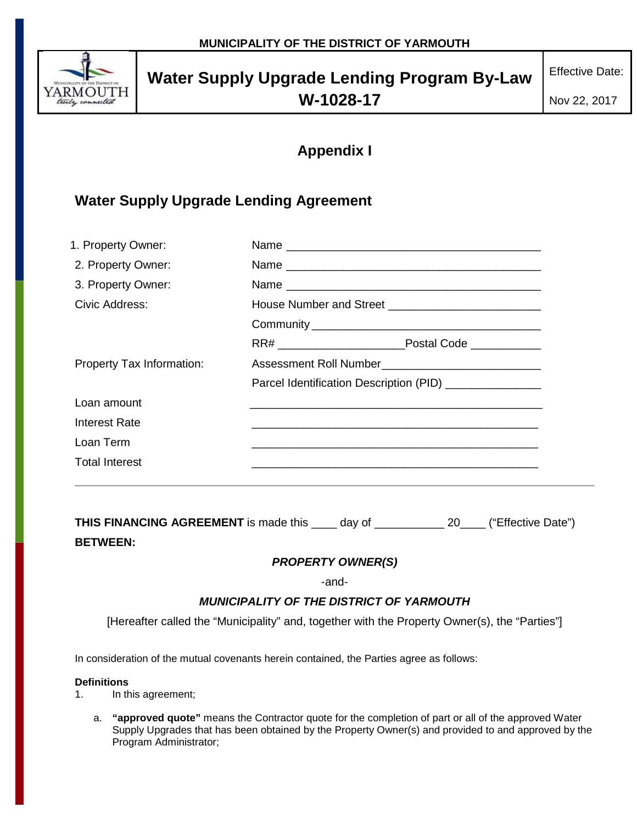

## **Appendix I**

## **Water Supply Upgrade Lending Agreement**

| 1. Property Owner:        |                                                                                                                      |
|---------------------------|----------------------------------------------------------------------------------------------------------------------|
| 2. Property Owner:        |                                                                                                                      |
| 3. Property Owner:        |                                                                                                                      |
| Civic Address:            |                                                                                                                      |
|                           |                                                                                                                      |
|                           |                                                                                                                      |
| Property Tax Information: |                                                                                                                      |
|                           | Parcel Identification Description (PID) _______________                                                              |
| Loan amount               |                                                                                                                      |
| Interest Rate             |                                                                                                                      |
| Loan Term                 |                                                                                                                      |
| <b>Total Interest</b>     |                                                                                                                      |
|                           | <u> 1989 - Jan Samuel Barbara, marka a shekara ta 1989 - An tsara tsa a shekara tsa a shekara tsa a shekara tsa </u> |

**THIS FINANCING AGREEMENT** is made this \_\_\_\_ day of \_\_\_\_\_\_\_\_\_\_\_ 20\_\_\_\_ ("Effective Date") **BETWEEN:**

## *PROPERTY OWNER(S)*

-and-

## *MUNICIPALITY OF THE DISTRICT OF YARMOUTH*

[Hereafter called the "Municipality" and, together with the Property Owner(s), the "Parties"]

In consideration of the mutual covenants herein contained, the Parties agree as follows:

#### **Definitions**

1. In this agreement;

a. **"approved quote"** means the Contractor quote for the completion of part or all of the approved Water Supply Upgrades that has been obtained by the Property Owner(s) and provided to and approved by the Program Administrator;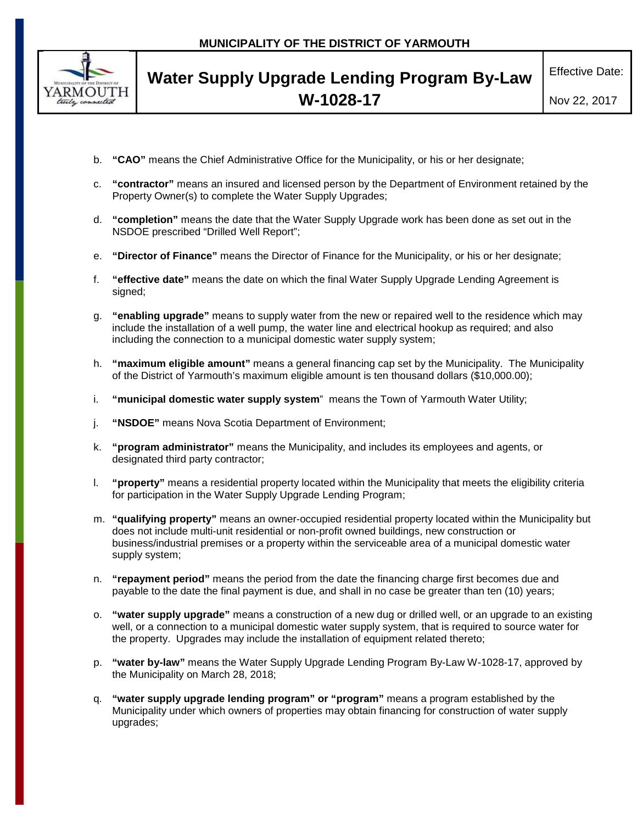

- b. **"CAO"** means the Chief Administrative Office for the Municipality, or his or her designate;
- c. **"contractor"** means an insured and licensed person by the Department of Environment retained by the Property Owner(s) to complete the Water Supply Upgrades;
- d. **"completion"** means the date that the Water Supply Upgrade work has been done as set out in the NSDOE prescribed "Drilled Well Report";
- e. **"Director of Finance"** means the Director of Finance for the Municipality, or his or her designate;
- f. **"effective date"** means the date on which the final Water Supply Upgrade Lending Agreement is signed;
- g. **"enabling upgrade"** means to supply water from the new or repaired well to the residence which may include the installation of a well pump, the water line and electrical hookup as required; and also including the connection to a municipal domestic water supply system;
- h. **"maximum eligible amount"** means a general financing cap set by the Municipality. The Municipality of the District of Yarmouth's maximum eligible amount is ten thousand dollars (\$10,000.00);
- i. **"municipal domestic water supply system**" means the Town of Yarmouth Water Utility;
- j. **"NSDOE"** means Nova Scotia Department of Environment;
- k. **"program administrator"** means the Municipality, and includes its employees and agents, or designated third party contractor;
- l. **"property"** means a residential property located within the Municipality that meets the eligibility criteria for participation in the Water Supply Upgrade Lending Program;
- m. **"qualifying property"** means an owner-occupied residential property located within the Municipality but does not include multi-unit residential or non-profit owned buildings, new construction or business/industrial premises or a property within the serviceable area of a municipal domestic water supply system;
- n. **"repayment period"** means the period from the date the financing charge first becomes due and payable to the date the final payment is due, and shall in no case be greater than ten (10) years;
- o. **"water supply upgrade"** means a construction of a new dug or drilled well, or an upgrade to an existing well, or a connection to a municipal domestic water supply system, that is required to source water for the property. Upgrades may include the installation of equipment related thereto;
- p. **"water by-law"** means the Water Supply Upgrade Lending Program By-Law W-1028-17, approved by the Municipality on March 28, 2018;
- q. **"water supply upgrade lending program" or "program"** means a program established by the Municipality under which owners of properties may obtain financing for construction of water supply upgrades;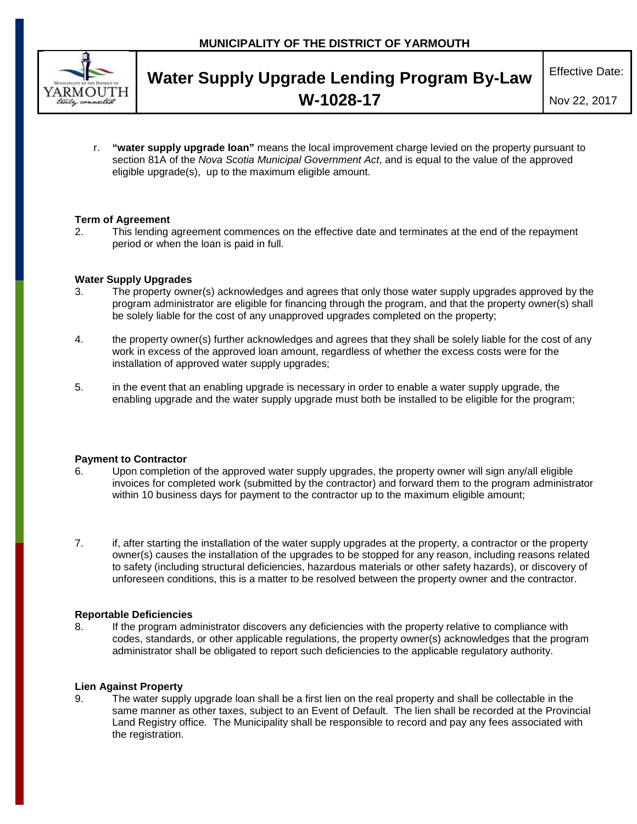

r. **"water supply upgrade loan"** means the local improvement charge levied on the property pursuant to section 81A of the *Nova Scotia Municipal Government Act*, and is equal to the value of the approved eligible upgrade(s), up to the maximum eligible amount.

### **Term of Agreement**

2. This lending agreement commences on the effective date and terminates at the end of the repayment period or when the loan is paid in full.

### **Water Supply Upgrades**

- 3. The property owner(s) acknowledges and agrees that only those water supply upgrades approved by the program administrator are eligible for financing through the program, and that the property owner(s) shall be solely liable for the cost of any unapproved upgrades completed on the property;
- 4. the property owner(s) further acknowledges and agrees that they shall be solely liable for the cost of any work in excess of the approved loan amount, regardless of whether the excess costs were for the installation of approved water supply upgrades;
- 5. in the event that an enabling upgrade is necessary in order to enable a water supply upgrade, the enabling upgrade and the water supply upgrade must both be installed to be eligible for the program;

## **Payment to Contractor**

- 6. Upon completion of the approved water supply upgrades, the property owner will sign any/all eligible invoices for completed work (submitted by the contractor) and forward them to the program administrator within 10 business days for payment to the contractor up to the maximum eligible amount;
- 7. if, after starting the installation of the water supply upgrades at the property, a contractor or the property owner(s) causes the installation of the upgrades to be stopped for any reason, including reasons related to safety (including structural deficiencies, hazardous materials or other safety hazards), or discovery of unforeseen conditions, this is a matter to be resolved between the property owner and the contractor.

## **Reportable Deficiencies**

8. If the program administrator discovers any deficiencies with the property relative to compliance with codes, standards, or other applicable regulations, the property owner(s) acknowledges that the program administrator shall be obligated to report such deficiencies to the applicable regulatory authority.

## **Lien Against Property**

9. The water supply upgrade loan shall be a first lien on the real property and shall be collectable in the same manner as other taxes, subject to an Event of Default. The lien shall be recorded at the Provincial Land Registry office. The Municipality shall be responsible to record and pay any fees associated with the registration.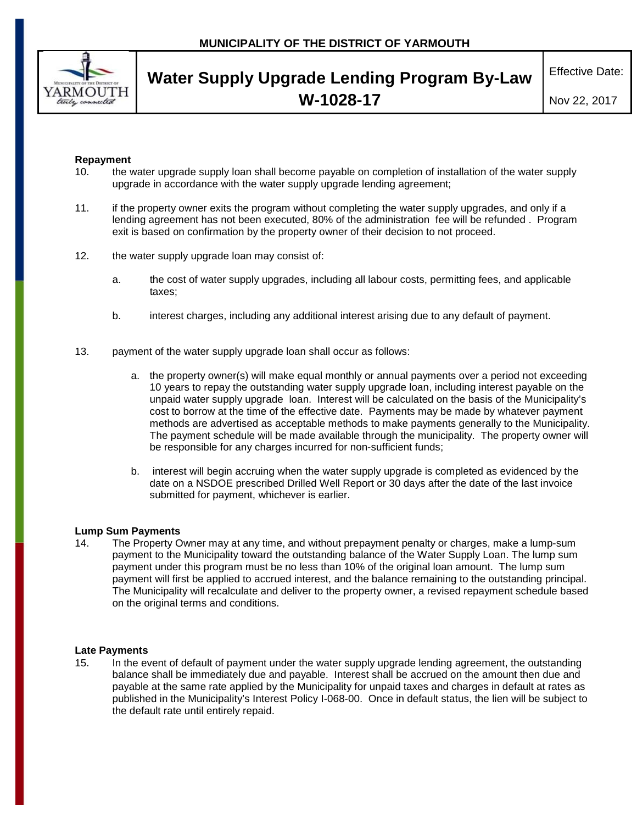

# **Repayment**<br>10. the v

- the water upgrade supply loan shall become payable on completion of installation of the water supply upgrade in accordance with the water supply upgrade lending agreement;
- 11. if the property owner exits the program without completing the water supply upgrades, and only if a lending agreement has not been executed, 80% of the administration fee will be refunded . Program exit is based on confirmation by the property owner of their decision to not proceed.
- 12. the water supply upgrade loan may consist of:
	- a. the cost of water supply upgrades, including all labour costs, permitting fees, and applicable taxes;
	- b. interest charges, including any additional interest arising due to any default of payment.
- 13. payment of the water supply upgrade loan shall occur as follows:
	- a. the property owner(s) will make equal monthly or annual payments over a period not exceeding 10 years to repay the outstanding water supply upgrade loan, including interest payable on the unpaid water supply upgrade loan. Interest will be calculated on the basis of the Municipality's cost to borrow at the time of the effective date. Payments may be made by whatever payment methods are advertised as acceptable methods to make payments generally to the Municipality. The payment schedule will be made available through the municipality. The property owner will be responsible for any charges incurred for non-sufficient funds;
	- b. interest will begin accruing when the water supply upgrade is completed as evidenced by the date on a NSDOE prescribed Drilled Well Report or 30 days after the date of the last invoice submitted for payment, whichever is earlier.

#### **Lump Sum Payments**

14. The Property Owner may at any time, and without prepayment penalty or charges, make a lump-sum payment to the Municipality toward the outstanding balance of the Water Supply Loan. The lump sum payment under this program must be no less than 10% of the original loan amount. The lump sum payment will first be applied to accrued interest, and the balance remaining to the outstanding principal. The Municipality will recalculate and deliver to the property owner, a revised repayment schedule based on the original terms and conditions.

#### **Late Payments**

15. In the event of default of payment under the water supply upgrade lending agreement, the outstanding balance shall be immediately due and payable. Interest shall be accrued on the amount then due and payable at the same rate applied by the Municipality for unpaid taxes and charges in default at rates as published in the Municipality's Interest Policy I-068-00. Once in default status, the lien will be subject to the default rate until entirely repaid.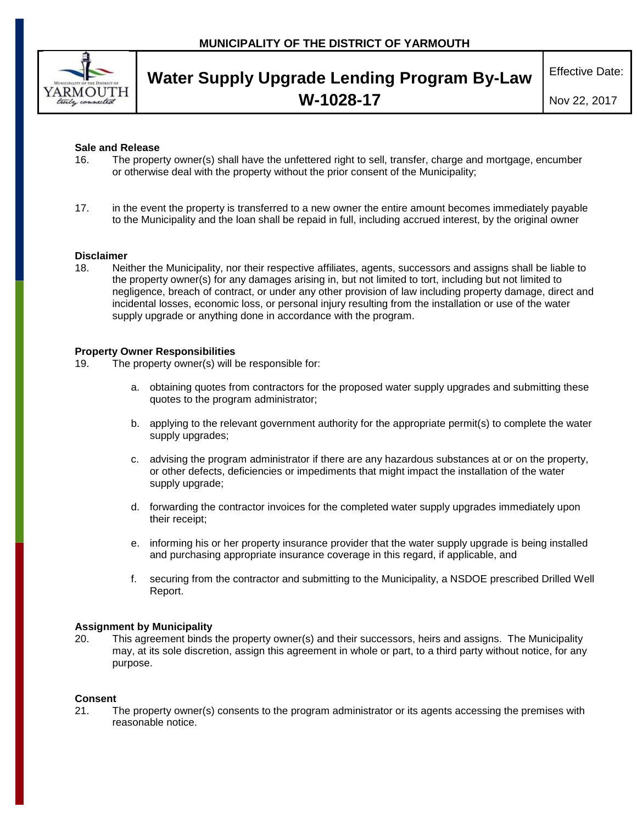

#### **Sale and Release**

- 16. The property owner(s) shall have the unfettered right to sell, transfer, charge and mortgage, encumber or otherwise deal with the property without the prior consent of the Municipality;
- 17. in the event the property is transferred to a new owner the entire amount becomes immediately payable to the Municipality and the loan shall be repaid in full, including accrued interest, by the original owner

#### **Disclaimer**

18. Neither the Municipality, nor their respective affiliates, agents, successors and assigns shall be liable to the property owner(s) for any damages arising in, but not limited to tort, including but not limited to negligence, breach of contract, or under any other provision of law including property damage, direct and incidental losses, economic loss, or personal injury resulting from the installation or use of the water supply upgrade or anything done in accordance with the program.

#### **Property Owner Responsibilities**

19. The property owner(s) will be responsible for:

- a. obtaining quotes from contractors for the proposed water supply upgrades and submitting these quotes to the program administrator;
- b. applying to the relevant government authority for the appropriate permit(s) to complete the water supply upgrades;
- c. advising the program administrator if there are any hazardous substances at or on the property, or other defects, deficiencies or impediments that might impact the installation of the water supply upgrade;
- d. forwarding the contractor invoices for the completed water supply upgrades immediately upon their receipt;
- e. informing his or her property insurance provider that the water supply upgrade is being installed and purchasing appropriate insurance coverage in this regard, if applicable, and
- f. securing from the contractor and submitting to the Municipality, a NSDOE prescribed Drilled Well Report.

#### **Assignment by Municipality**

20. This agreement binds the property owner(s) and their successors, heirs and assigns. The Municipality may, at its sole discretion, assign this agreement in whole or part, to a third party without notice, for any purpose.

# **Consent**<br>21. T

21. The property owner(s) consents to the program administrator or its agents accessing the premises with reasonable notice.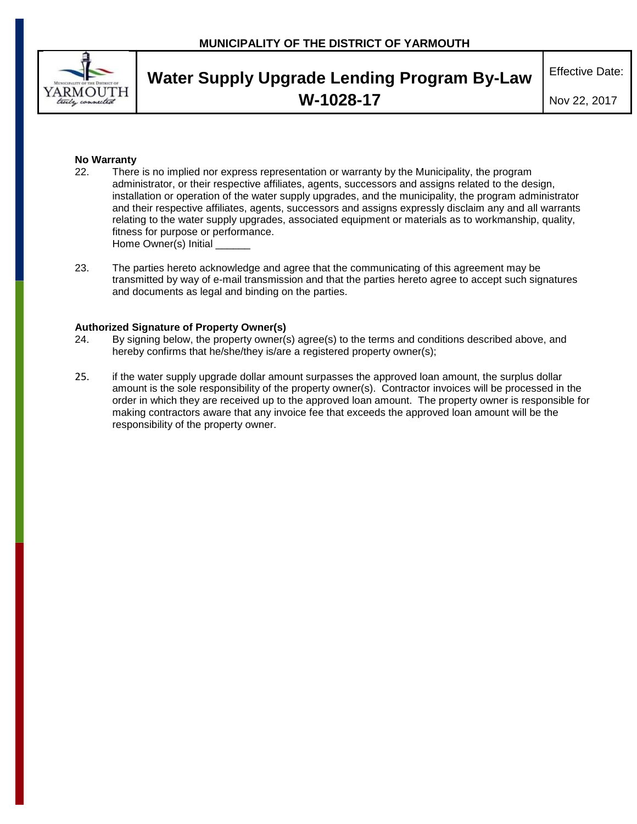

| <b>Effective Date:</b> |  |
|------------------------|--|
|------------------------|--|

# **No Warranty**<br>22. There

- There is no implied nor express representation or warranty by the Municipality, the program administrator, or their respective affiliates, agents, successors and assigns related to the design, installation or operation of the water supply upgrades, and the municipality, the program administrator and their respective affiliates, agents, successors and assigns expressly disclaim any and all warrants relating to the water supply upgrades, associated equipment or materials as to workmanship, quality, fitness for purpose or performance. Home Owner(s) Initial
- 23. The parties hereto acknowledge and agree that the communicating of this agreement may be transmitted by way of e-mail transmission and that the parties hereto agree to accept such signatures and documents as legal and binding on the parties.

#### **Authorized Signature of Property Owner(s)**

- 24. By signing below, the property owner(s) agree(s) to the terms and conditions described above, and hereby confirms that he/she/they is/are a registered property owner(s);
- 25. if the water supply upgrade dollar amount surpasses the approved loan amount, the surplus dollar amount is the sole responsibility of the property owner(s). Contractor invoices will be processed in the order in which they are received up to the approved loan amount. The property owner is responsible for making contractors aware that any invoice fee that exceeds the approved loan amount will be the responsibility of the property owner.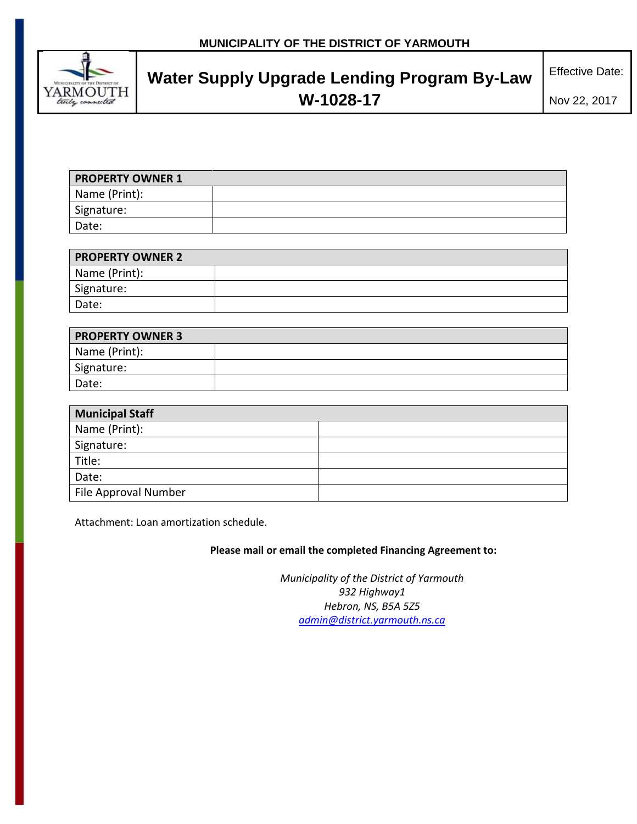

| <b>PROPERTY OWNER 1</b> |  |
|-------------------------|--|
| Name (Print):           |  |
| Signature:              |  |
| Date:                   |  |

| <b>PROPERTY OWNER 2</b> |  |
|-------------------------|--|
| Name (Print):           |  |
| Signature:              |  |
| Date:                   |  |

| <b>PROPERTY OWNER 3</b> |  |
|-------------------------|--|
| Name (Print):           |  |
| Signature:              |  |
| Date:                   |  |

| <b>Municipal Staff</b> |  |
|------------------------|--|
| Name (Print):          |  |
| Signature:             |  |
| Title:                 |  |
| Date:                  |  |
| File Approval Number   |  |

Attachment: Loan amortization schedule.

#### **Please mail or email the completed Financing Agreement to:**

*Municipality of the District of Yarmouth 932 Highway1 Hebron, NS, B5A 5Z5 [admin@district.yarmouth.ns.ca](mailto:admin@district.yarmouth.ns.ca)*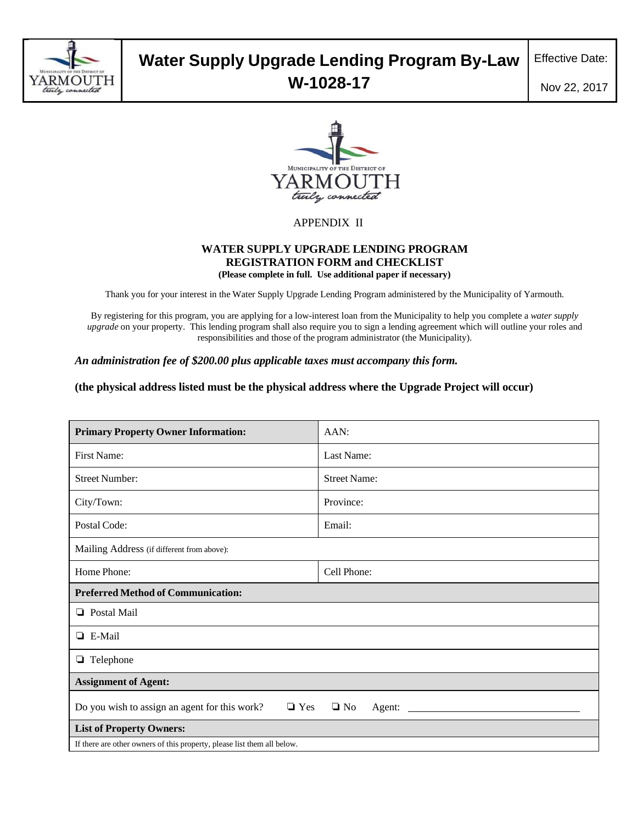

# **Water Supply Upgrade Lending Program By-Law** Effective Date:

**W-1028-17** Nov 22, 2017



### APPENDIX II

#### **WATER SUPPLY UPGRADE LENDING PROGRAM REGISTRATION FORM and CHECKLIST (Please complete in full. Use additional paper if necessary)**

Thank you for your interest in the Water Supply Upgrade Lending Program administered by the Municipality of Yarmouth.

By registering for this program, you are applying for a low-interest loan from the Municipality to help you complete a *water supply upgrade* on your property. This lending program shall also require you to sign a lending agreement which will outline your roles and responsibilities and those of the program administrator (the Municipality).

*An administration fee of \$200.00 plus applicable taxes must accompany this form.*

**(the physical address listed must be the physical address where the Upgrade Project will occur)**

| <b>Primary Property Owner Information:</b>                                         | AAN:                |
|------------------------------------------------------------------------------------|---------------------|
| <b>First Name:</b>                                                                 | Last Name:          |
| <b>Street Number:</b>                                                              | <b>Street Name:</b> |
| City/Town:                                                                         | Province:           |
| Postal Code:                                                                       | Email:              |
| Mailing Address (if different from above):                                         |                     |
| Home Phone:                                                                        | Cell Phone:         |
| <b>Preferred Method of Communication:</b>                                          |                     |
| <b>D</b> Postal Mail                                                               |                     |
| $\Box$ E-Mail                                                                      |                     |
| Telephone<br>❏                                                                     |                     |
| <b>Assignment of Agent:</b>                                                        |                     |
| Do you wish to assign an agent for this work?<br>$\Box$ Yes<br>$\Box$ No<br>Agent: |                     |
| <b>List of Property Owners:</b>                                                    |                     |
| If there are other owners of this property, please list them all below.            |                     |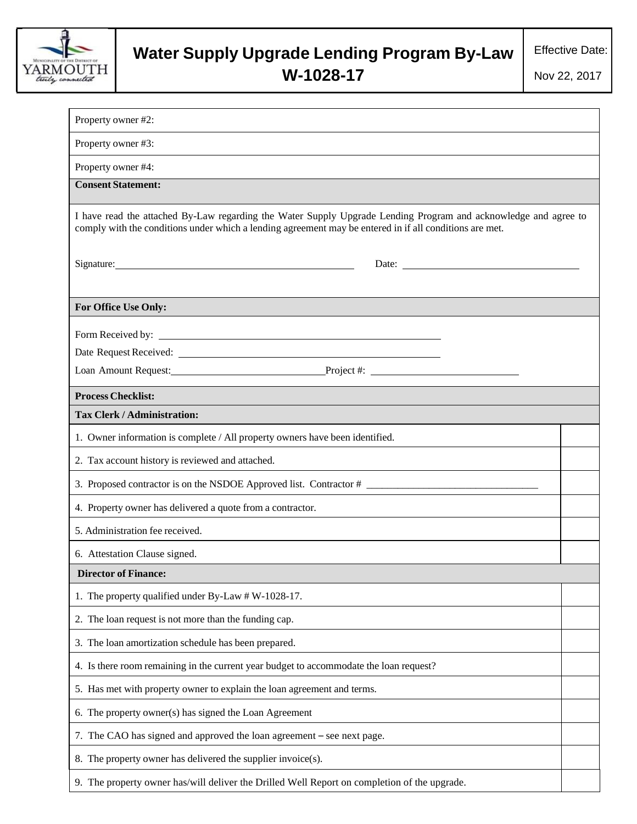

# **Water Supply Upgrade Lending Program By-Law**  $\left| \right.$  Effective Date: **W-1028-17** Nov 22, 2017

| Property owner #2:                                                                                                                                                                                                                                                                                                                                                                                            |  |  |  |
|---------------------------------------------------------------------------------------------------------------------------------------------------------------------------------------------------------------------------------------------------------------------------------------------------------------------------------------------------------------------------------------------------------------|--|--|--|
| Property owner #3:                                                                                                                                                                                                                                                                                                                                                                                            |  |  |  |
| Property owner #4:                                                                                                                                                                                                                                                                                                                                                                                            |  |  |  |
| <b>Consent Statement:</b>                                                                                                                                                                                                                                                                                                                                                                                     |  |  |  |
| I have read the attached By-Law regarding the Water Supply Upgrade Lending Program and acknowledge and agree to<br>comply with the conditions under which a lending agreement may be entered in if all conditions are met.                                                                                                                                                                                    |  |  |  |
| Date: $\frac{1}{\sqrt{1-\frac{1}{2}}\sqrt{1-\frac{1}{2}}\sqrt{1-\frac{1}{2}}\sqrt{1-\frac{1}{2}}\sqrt{1-\frac{1}{2}}\sqrt{1-\frac{1}{2}}\sqrt{1-\frac{1}{2}}\sqrt{1-\frac{1}{2}}\sqrt{1-\frac{1}{2}}\sqrt{1-\frac{1}{2}}\sqrt{1-\frac{1}{2}}\sqrt{1-\frac{1}{2}}\sqrt{1-\frac{1}{2}}\sqrt{1-\frac{1}{2}}\sqrt{1-\frac{1}{2}}\sqrt{1-\frac{1}{2}}\sqrt{1-\frac{1}{2}}\sqrt{1-\frac{1}{2}}\sqrt{1-\frac{1}{2}}$ |  |  |  |
| For Office Use Only:                                                                                                                                                                                                                                                                                                                                                                                          |  |  |  |
| Form Received by: New York Contract the Contract of the Contract of the Contract of the Contract of the Contract of the Contract of the Contract of the Contract of the Contract of the Contract of the Contract of the Contra                                                                                                                                                                                |  |  |  |
|                                                                                                                                                                                                                                                                                                                                                                                                               |  |  |  |
| Loan Amount Request: Project #: Project #:                                                                                                                                                                                                                                                                                                                                                                    |  |  |  |
| <b>Process Checklist:</b>                                                                                                                                                                                                                                                                                                                                                                                     |  |  |  |
| <b>Tax Clerk / Administration:</b>                                                                                                                                                                                                                                                                                                                                                                            |  |  |  |
| 1. Owner information is complete / All property owners have been identified.                                                                                                                                                                                                                                                                                                                                  |  |  |  |
| 2. Tax account history is reviewed and attached.                                                                                                                                                                                                                                                                                                                                                              |  |  |  |
| 3. Proposed contractor is on the NSDOE Approved list. Contractor # _________________________________                                                                                                                                                                                                                                                                                                          |  |  |  |
| 4. Property owner has delivered a quote from a contractor.                                                                                                                                                                                                                                                                                                                                                    |  |  |  |
| 5. Administration fee received.                                                                                                                                                                                                                                                                                                                                                                               |  |  |  |
| 6. Attestation Clause signed.                                                                                                                                                                                                                                                                                                                                                                                 |  |  |  |
| <b>Director of Finance:</b>                                                                                                                                                                                                                                                                                                                                                                                   |  |  |  |
| 1. The property qualified under By-Law # W-1028-17.                                                                                                                                                                                                                                                                                                                                                           |  |  |  |
| 2. The loan request is not more than the funding cap.                                                                                                                                                                                                                                                                                                                                                         |  |  |  |
| 3. The loan amortization schedule has been prepared.                                                                                                                                                                                                                                                                                                                                                          |  |  |  |
| 4. Is there room remaining in the current year budget to accommodate the loan request?                                                                                                                                                                                                                                                                                                                        |  |  |  |
| 5. Has met with property owner to explain the loan agreement and terms.                                                                                                                                                                                                                                                                                                                                       |  |  |  |
| 6. The property owner(s) has signed the Loan Agreement                                                                                                                                                                                                                                                                                                                                                        |  |  |  |
| 7. The CAO has signed and approved the loan agreement – see next page.                                                                                                                                                                                                                                                                                                                                        |  |  |  |
| 8. The property owner has delivered the supplier invoice(s).                                                                                                                                                                                                                                                                                                                                                  |  |  |  |
| 9. The property owner has/will deliver the Drilled Well Report on completion of the upgrade.                                                                                                                                                                                                                                                                                                                  |  |  |  |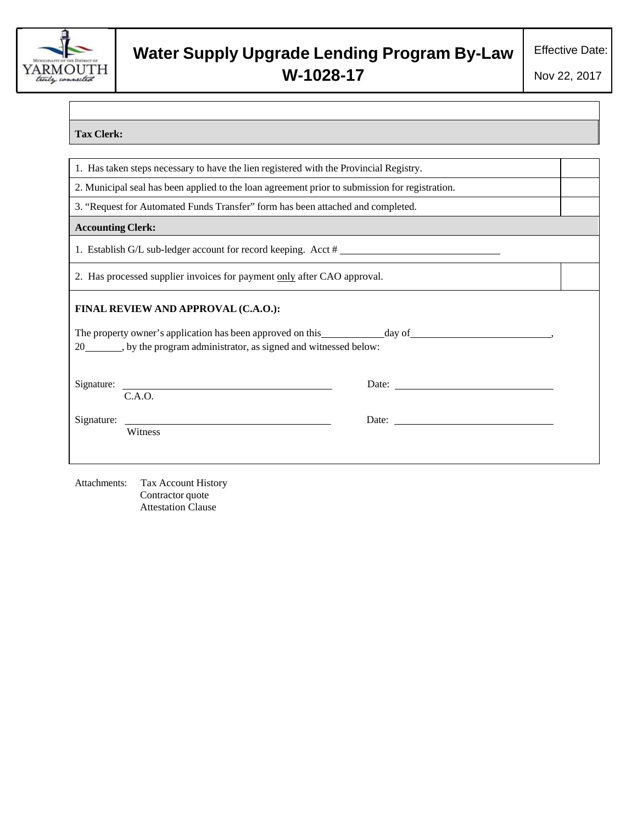

# **Water Supply Upgrade Lending Program By-Law**  $\Big|$  Effective Date: **W-1028-17** Nov 22, 2017

### **Tax Clerk:**

| 1. Has taken steps necessary to have the lien registered with the Provincial Registry.                         |       |  |
|----------------------------------------------------------------------------------------------------------------|-------|--|
| 2. Municipal seal has been applied to the loan agreement prior to submission for registration.                 |       |  |
| 3. "Request for Automated Funds Transfer" form has been attached and completed.                                |       |  |
| <b>Accounting Clerk:</b>                                                                                       |       |  |
|                                                                                                                |       |  |
| 2. Has processed supplier invoices for payment only after CAO approval.                                        |       |  |
| FINAL REVIEW AND APPROVAL (C.A.O.):<br>20_______, by the program administrator, as signed and witnessed below: |       |  |
| C.A.O.                                                                                                         | Date: |  |
| Witness                                                                                                        |       |  |
| Attachments: Tay Account History                                                                               |       |  |

Attachments: Tax Account History Contractor quote Attestation Clause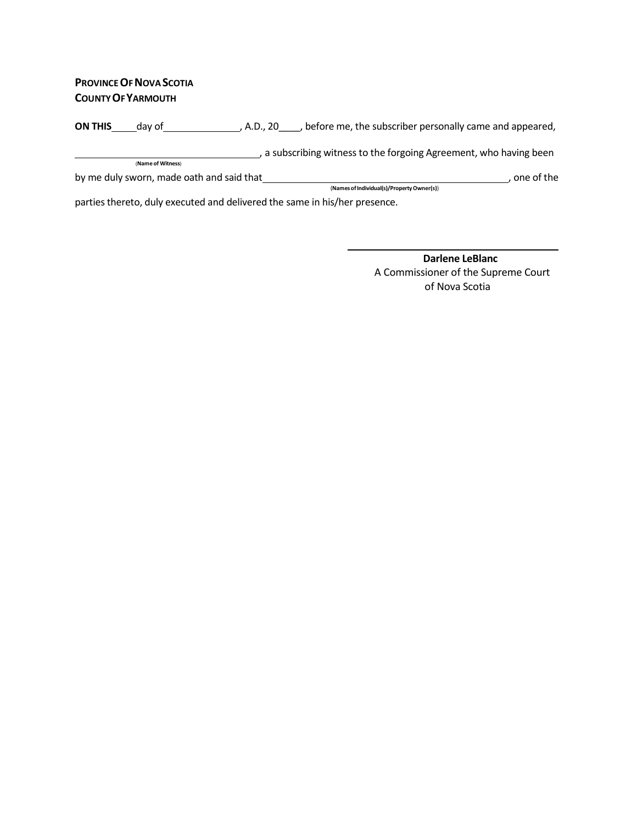### **PROVINCEOFNOVA SCOTIA COUNTYOFYARMOUTH**

**ON THIS** day of , A.D., 20 day 0.5 before me, the subscriber personally came and appeared, , a subscribing witness to the forgoing Agreement, who having been (**Name of Witness**)

by me duly sworn, made oath and said that **construct and the set of the set of the set of the** sof individual(s)/PropertyOwner(s))

parties thereto, duly executed and delivered the same in his/her presence.

**Darlene LeBlanc** A Commissioner of the Supreme Court of Nova Scotia